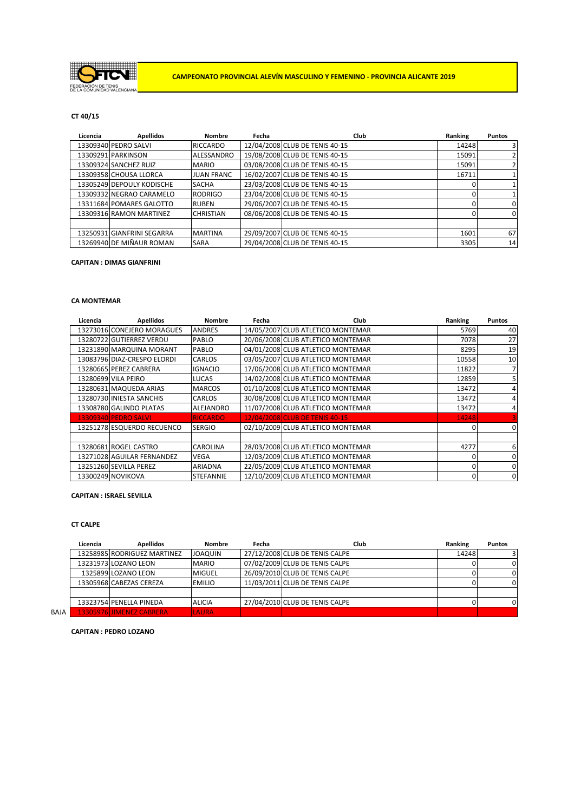

### **CT 40/15**

| Licencia | <b>Apellidos</b>           | <b>Nombre</b>     | Fecha | <b>Club</b>                    | Ranking | <b>Puntos</b>           |
|----------|----------------------------|-------------------|-------|--------------------------------|---------|-------------------------|
|          | 13309340 PEDRO SALVI       | <b>RICCARDO</b>   |       | 12/04/2008 CLUB DE TENIS 40-15 | 14248   | $\overline{\mathbf{3}}$ |
|          | 13309291 PARKINSON         | ALESSANDRO        |       | 19/08/2008 CLUB DE TENIS 40-15 | 15091   | 2                       |
|          | 13309324 SANCHEZ RUIZ      | <b>MARIO</b>      |       | 03/08/2008 CLUB DE TENIS 40-15 | 15091   | 2                       |
|          | 13309358 CHOUSA LLORCA     | <b>JUAN FRANC</b> |       | 16/02/2007 CLUB DE TENIS 40-15 | 16711   |                         |
|          | 13305249 DEPOULY KODISCHE  | <b>SACHA</b>      |       | 23/03/2008 CLUB DE TENIS 40-15 |         |                         |
|          | 13309332 NEGRAO CARAMELO   | <b>RODRIGO</b>    |       | 23/04/2008 CLUB DE TENIS 40-15 |         |                         |
|          | 13311684 POMARES GALOTTO   | <b>RUBEN</b>      |       | 29/06/2007 CLUB DE TENIS 40-15 |         | 0                       |
|          | 13309316 RAMON MARTINEZ    | <b>CHRISTIAN</b>  |       | 08/06/2008 CLUB DE TENIS 40-15 |         | $\Omega$                |
|          |                            |                   |       |                                |         |                         |
|          | 13250931 GIANFRINI SEGARRA | <b>MARTINA</b>    |       | 29/09/2007 CLUB DE TENIS 40-15 | 1601    | 67                      |
|          | 13269940 DE MIÑAUR ROMAN   | <b>SARA</b>       |       | 29/04/2008 CLUB DE TENIS 40-15 | 3305    | 14                      |

### **CAPITAN : DIMAS GIANFRINI**

# **CA MONTEMAR**

| Licencia | <b>Apellidos</b>            | <b>Nombre</b>    | Fecha | Club                              | Ranking | <b>Puntos</b> |
|----------|-----------------------------|------------------|-------|-----------------------------------|---------|---------------|
|          | 13273016 CONEJERO MORAGUES  | <b>ANDRES</b>    |       | 14/05/2007 CLUB ATLETICO MONTEMAR | 5769    | 40            |
|          | 13280722 GUTIERREZ VERDU    | <b>PABLO</b>     |       | 20/06/2008 CLUB ATLETICO MONTEMAR | 7078    | 27            |
|          | 13231890 MARQUINA MORANT    | PABLO            |       | 04/01/2008 CLUB ATLETICO MONTEMAR | 8295    | 19            |
|          | 13083796 DIAZ-CRESPO ELORDI | <b>CARLOS</b>    |       | 03/05/2007 CLUB ATLETICO MONTEMAR | 10558   | 10            |
|          | 13280665 PEREZ CABRERA      | <b>IGNACIO</b>   |       | 17/06/2008 CLUB ATLETICO MONTEMAR | 11822   | 7             |
|          | 13280699 VILA PEIRO         | <b>LUCAS</b>     |       | 14/02/2008 CLUB ATLETICO MONTEMAR | 12859   | 5             |
|          | 13280631 MAQUEDA ARIAS      | <b>MARCOS</b>    |       | 01/10/2008 CLUB ATLETICO MONTEMAR | 13472   | 4             |
|          | 13280730 INJESTA SANCHIS    | <b>CARLOS</b>    |       | 30/08/2008 CLUB ATLETICO MONTEMAR | 13472   | 4             |
|          | 13308780 GALINDO PLATAS     | ALEJANDRO        |       | 11/07/2008 CLUB ATLETICO MONTEMAR | 13472   | 4             |
|          | 13309340 PEDRO SALVI        | <b>RICCARDO</b>  |       | 12/04/2008 CLUB DE TENIS 40-15    | 14248   |               |
|          | 13251278 ESQUERDO RECUENCO  | <b>SERGIO</b>    |       | 02/10/2009 CLUB ATLETICO MONTEMAR |         | 0             |
|          |                             |                  |       |                                   |         |               |
|          | 13280681 ROGEL CASTRO       | <b>CAROLINA</b>  |       | 28/03/2008 CLUB ATLETICO MONTEMAR | 4277    | 6             |
|          | 13271028 AGUILAR FERNANDEZ  | <b>VEGA</b>      |       | 12/03/2009 CLUB ATLETICO MONTEMAR |         | 0             |
|          | 13251260 SEVILLA PEREZ      | <b>ARIADNA</b>   |       | 22/05/2009 CLUB ATLETICO MONTEMAR |         | $\Omega$      |
|          | 13300249 NOVIKOVA           | <b>STEFANNIE</b> |       | 12/10/2009 CLUB ATLETICO MONTEMAR |         | 0             |

### **CAPITAN : ISRAEL SEVILLA**

# **CT CALPE**

|      | Licencia | <b>Apellidos</b>            | Nombre         | Fecha | Club                           | Ranking | <b>Puntos</b> |
|------|----------|-----------------------------|----------------|-------|--------------------------------|---------|---------------|
|      |          | 13258985 RODRIGUEZ MARTINEZ | <b>JOAQUIN</b> |       | 27/12/2008 CLUB DE TENIS CALPE | 14248   |               |
|      |          | 13231973 LOZANO LEON        | <b>MARIO</b>   |       | 07/02/2009 CLUB DE TENIS CALPE |         |               |
|      |          | 1325899 LOZANO LEON         | <b>MIGUEL</b>  |       | 26/09/2010 CLUB DE TENIS CALPE |         |               |
|      |          | 13305968 CABEZAS CEREZA     | <b>EMILIO</b>  |       | 11/03/2011 CLUB DE TENIS CALPE |         |               |
|      |          |                             |                |       |                                |         |               |
|      |          | 13323754 PENELLA PINEDA     | <b>ALICIA</b>  |       | 27/04/2010 CLUB DE TENIS CALPE |         |               |
| BAJA |          | 3305976UIMENEZ CABRERA      | <b>LAURA</b>   |       |                                |         |               |

**CAPITAN : PEDRO LOZANO**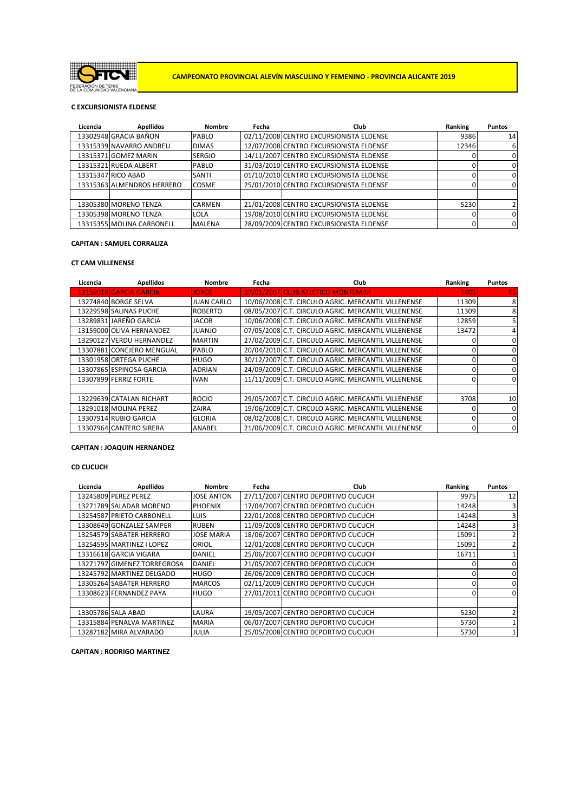

**CAMPEONATO PROVINCIAL ALEVÍN MASCULINO Y FEMENINO - PROVINCIA ALICANTE 2019**

# **C EXCURSIONISTA ELDENSE**

| Licencia | <b>Apellidos</b>           | <b>Nombre</b> | Fecha | Club                                    | Ranking | <b>Puntos</b>   |
|----------|----------------------------|---------------|-------|-----------------------------------------|---------|-----------------|
|          | 13302948 GRACIA BAÑON      | <b>PABLO</b>  |       | 02/11/2008 CENTRO EXCURSIONISTA ELDENSE | 9386    | 14 <sup>1</sup> |
|          | 13315339 NAVARRO ANDREU    | <b>DIMAS</b>  |       | 12/07/2008 CENTRO EXCURSIONISTA ELDENSE | 12346   | 6               |
|          | 13315371 GOMEZ MARIN       | <b>SERGIO</b> |       | 14/11/2007 CENTRO EXCURSIONISTA ELDENSE |         | 0               |
|          | 13315321 RUEDA ALBERT      | <b>PABLO</b>  |       | 31/03/2010 CENTRO EXCURSIONISTA ELDENSE |         | 0               |
|          | 13315347 RICO ABAD         | SANTI         |       | 01/10/2010 CENTRO EXCURSIONISTA ELDENSE |         | 0               |
|          | 13315363 ALMENDROS HERRERO | <b>COSME</b>  |       | 25/01/2010 CENTRO EXCURSIONISTA ELDENSE |         | $\Omega$        |
|          |                            |               |       |                                         |         |                 |
|          | 13305380 MORENO TENZA      | <b>CARMEN</b> |       | 21/01/2008 CENTRO EXCURSIONISTA ELDENSE | 5230    |                 |
|          | 13305398 MORENO TENZA      | <b>LOLA</b>   |       | 19/08/2010 CENTRO EXCURSIONISTA ELDENSE |         | 0               |
|          | 13315355 MOLINA CARBONELL  | <b>MALENA</b> |       | 28/09/2009 CENTRO EXCURSIONISTA ELDENSE |         | $\Omega$        |

#### **CAPITAN : SAMUEL CORRALIZA**

### **CT CAM VILLENENSE**

| Licencia | <b>Apellidos</b>          | <b>Nombre</b>     | Fecha | Club                                                | Ranking | <b>Puntos</b> |
|----------|---------------------------|-------------------|-------|-----------------------------------------------------|---------|---------------|
|          | 13159018 GARCIA GARCIA    | <b>JORGE</b>      |       | 17/01/2007 CLUB ATLETICO MONTEMAR                   | 5405    | 45            |
|          | 13274840 BORGE SELVA      | <b>JUAN CARLO</b> |       | 10/06/2008 C.T. CIRCULO AGRIC. MERCANTIL VILLENENSE | 11309   | 8             |
|          | 13229598 SALINAS PUCHE    | <b>ROBERTO</b>    |       | 08/05/2007 C.T. CIRCULO AGRIC. MERCANTIL VILLENENSE | 11309   | 8             |
|          | 13289831 JAREÑO GARCIA    | <b>JACOB</b>      |       | 10/06/2008 C.T. CIRCULO AGRIC. MERCANTIL VILLENENSE | 12859   | 5.            |
|          | 13159000 OLIVA HERNANDEZ  | <b>OLIADUL</b>    |       | 07/05/2008 C.T. CIRCULO AGRIC. MERCANTIL VILLENENSE | 13472   | 4             |
|          | 13290127 VERDU HERNANDEZ  | <b>MARTIN</b>     |       | 27/02/2009 C.T. CIRCULO AGRIC. MERCANTIL VILLENENSE |         | $\Omega$      |
|          | 13307881 CONEJERO MENGUAL | PABLO             |       | 20/04/2010 C.T. CIRCULO AGRIC. MERCANTIL VILLENENSE |         | 0             |
|          | 13301958 ORTEGA PUCHE     | <b>HUGO</b>       |       | 30/12/2007 C.T. CIRCULO AGRIC. MERCANTIL VILLENENSE |         | 0             |
|          | 13307865 ESPINOSA GARCIA  | <b>ADRIAN</b>     |       | 24/09/2009 C.T. CIRCULO AGRIC. MERCANTIL VILLENENSE |         | $\Omega$      |
|          | 13307899 FERRIZ FORTE     | <b>IVAN</b>       |       | 11/11/2009 C.T. CIRCULO AGRIC. MERCANTIL VILLENENSE |         | 0             |
|          |                           |                   |       |                                                     |         |               |
|          | 13229639 CATALAN RICHART  | <b>ROCIO</b>      |       | 29/05/2007 C.T. CIRCULO AGRIC. MERCANTIL VILLENENSE | 3708    | 10            |
|          | 13291018 MOLINA PEREZ     | ZAIRA             |       | 19/06/2009 C.T. CIRCULO AGRIC. MERCANTIL VILLENENSE |         | $\Omega$      |
|          | 13307914 RUBIO GARCIA     | <b>GLORIA</b>     |       | 08/02/2008 C.T. CIRCULO AGRIC. MERCANTIL VILLENENSE |         | $\Omega$      |
|          | 13307964 CANTERO SIRERA   | <b>ANABEL</b>     |       | 21/06/2009 C.T. CIRCULO AGRIC. MERCANTIL VILLENENSE |         | 0             |

#### **CAPITAN : JOAQUIN HERNANDEZ**

### **CD CUCUCH**

| Licencia | <b>Apellidos</b>            | Nombre            | Fecha | Club                               | Ranking | <b>Puntos</b>           |
|----------|-----------------------------|-------------------|-------|------------------------------------|---------|-------------------------|
|          | 13245809 PEREZ PEREZ        | <b>JOSE ANTON</b> |       | 27/11/2007 CENTRO DEPORTIVO CUCUCH | 9975    | 12                      |
|          | 13271789 SALADAR MORENO     | <b>PHOENIX</b>    |       | 17/04/2007 CENTRO DEPORTIVO CUCUCH | 14248   | 3                       |
|          | 13254587 PRIETO CARBONELL   | <b>LUIS</b>       |       | 22/01/2008 CENTRO DEPORTIVO CUCUCH | 14248   | $\overline{\mathbf{3}}$ |
|          | 13308649 GONZALEZ SAMPER    | <b>RUBEN</b>      |       | 11/09/2008 CENTRO DEPORTIVO CUCUCH | 14248   | 31                      |
|          | 13254579 SABATER HERRERO    | <b>JOSE MARIA</b> |       | 18/06/2007 CENTRO DEPORTIVO CUCUCH | 15091   |                         |
|          | 13254595 MARTINEZ I LOPEZ   | <b>ORIOL</b>      |       | 12/01/2008 CENTRO DEPORTIVO CUCUCH | 15091   | 2                       |
|          | 13316618 GARCIA VIGARA      | DANIEL            |       | 25/06/2007 CENTRO DEPORTIVO CUCUCH | 16711   |                         |
|          | 13271797 GIMENEZ TORREGROSA | <b>DANIEL</b>     |       | 21/05/2007 CENTRO DEPORTIVO CUCUCH |         | 0                       |
|          | 13245792 MARTINEZ DELGADO   | <b>HUGO</b>       |       | 26/06/2009 CENTRO DEPORTIVO CUCUCH |         | $\mathbf{0}$            |
|          | 13305264 SABATER HERRERO    | <b>MARCOS</b>     |       | 02/11/2009 CENTRO DEPORTIVO CUCUCH |         | 0                       |
|          | 13308623 FERNANDEZ PAYA     | <b>HUGO</b>       |       | 27/01/2011 CENTRO DEPORTIVO CUCUCH |         | $\mathbf{0}$            |
|          |                             |                   |       |                                    |         |                         |
|          | 13305786 SALA ABAD          | LAURA             |       | 19/05/2007 CENTRO DEPORTIVO CUCUCH | 5230    | $\overline{2}$          |
|          | 13315884 PENALVA MARTINEZ   | <b>MARIA</b>      |       | 06/07/2007 CENTRO DEPORTIVO CUCUCH | 5730    |                         |
|          | 13287182 MIRA ALVARADO      | <b>JULIA</b>      |       | 25/05/2008 CENTRO DEPORTIVO CUCUCH | 5730    |                         |

**CAPITAN : RODRIGO MARTINEZ**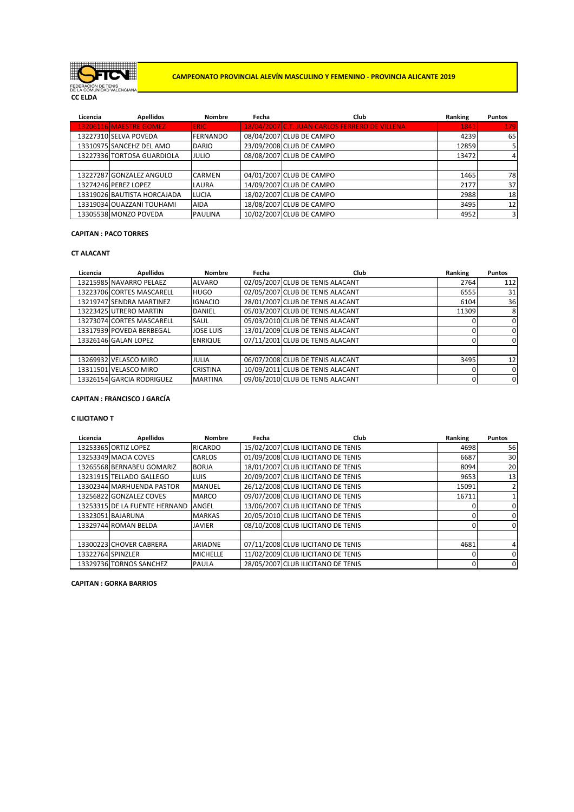

**CC ELDA**

**CAMPEONATO PROVINCIAL ALEVÍN MASCULINO Y FEMENINO - PROVINCIA ALICANTE 2019**

| Licencia | <b>Apellidos</b>            | <b>Nombre</b>   | Fecha | Club                                           | Ranking | <b>Puntos</b>           |
|----------|-----------------------------|-----------------|-------|------------------------------------------------|---------|-------------------------|
|          | 13206116 MAESTRE GOMEZ      | <b>ERIC</b>     |       | 18/04/2007 C.T. JUAN CARLOS FERRERO DE VILLENA | 1841    | 179                     |
|          | 13227310 SELVA POVEDA       | <b>FERNANDO</b> |       | 08/04/2007 CLUB DE CAMPO                       | 4239    | 65                      |
|          | 13310975 SANCEHZ DEL AMO    | <b>DARIO</b>    |       | 23/09/2008 CLUB DE CAMPO                       | 12859   |                         |
|          | 13227336 TORTOSA GUARDIOLA  | <b>JULIO</b>    |       | 08/08/2007 CLUB DE CAMPO                       | 13472   | 4                       |
|          |                             |                 |       |                                                |         |                         |
|          | 13227287 GONZALEZ ANGULO    | <b>CARMEN</b>   |       | 04/01/2007 CLUB DE CAMPO                       | 1465    | 78                      |
|          | 13274246 PEREZ LOPEZ        | LAURA           |       | 14/09/2007 CLUB DE CAMPO                       | 2177    | 37                      |
|          | 13319026 BAUTISTA HORCAJADA | <b>LUCIA</b>    |       | 18/02/2007 CLUB DE CAMPO                       | 2988    | 18                      |
|          | 13319034 OUAZZANI TOUHAMI   | <b>AIDA</b>     |       | 18/08/2007 CLUB DE CAMPO                       | 3495    | 12                      |
|          | 13305538 MONZO POVEDA       | <b>PAULINA</b>  |       | 10/02/2007 CLUB DE CAMPO                       | 4952    | $\overline{\mathbf{3}}$ |

# **CAPITAN : PACO TORRES**

# **CT ALACANT**

| Licencia | <b>Apellidos</b>          | <b>Nombre</b>    | Fecha | Club                             | Ranking | <b>Puntos</b>  |
|----------|---------------------------|------------------|-------|----------------------------------|---------|----------------|
|          | 13215985 NAVARRO PELAEZ   | <b>ALVARO</b>    |       | 02/05/2007 CLUB DE TENIS ALACANT | 2764    | 112            |
|          | 13223706 CORTES MASCARELL | <b>HUGO</b>      |       | 02/05/2007 CLUB DE TENIS ALACANT | 6555    | 31             |
|          | 13219747 SENDRA MARTINEZ  | <b>IGNACIO</b>   |       | 28/01/2007 CLUB DE TENIS ALACANT | 6104    | 36             |
|          | 13223425 UTRERO MARTIN    | <b>DANIEL</b>    |       | 05/03/2007 CLUB DE TENIS ALACANT | 11309   | 8              |
|          | 13273074 CORTES MASCARELL | <b>SAUL</b>      |       | 05/03/2010 CLUB DE TENIS ALACANT |         | $\mathbf{0}$   |
|          | 13317939 POVEDA BERBEGAL  | <b>JOSE LUIS</b> |       | 13/01/2009 CLUB DE TENIS ALACANT |         | $\mathbf{0}$   |
|          | 13326146 GALAN LOPEZ      | <b>ENRIQUE</b>   |       | 07/11/2001 CLUB DE TENIS ALACANT |         | $\Omega$       |
|          |                           |                  |       |                                  |         |                |
|          | 13269932 VELASCO MIRO     | JULIA            |       | 06/07/2008 CLUB DE TENIS ALACANT | 3495    | 12             |
|          | 13311501 VELASCO MIRO     | <b>CRISTINA</b>  |       | 10/09/2011 CLUB DE TENIS ALACANT |         | $\overline{0}$ |
|          | 13326154 GARCIA RODRIGUEZ | <b>MARTINA</b>   |       | 09/06/2010 CLUB DE TENIS ALACANT |         | $\mathbf{0}$   |

#### **CAPITAN : FRANCISCO J GARCÍA**

# **C ILICITANO T**

| Licencia | <b>Apellidos</b>              | <b>Nombre</b>   | Fecha | Club                               | Ranking | <b>Puntos</b>  |
|----------|-------------------------------|-----------------|-------|------------------------------------|---------|----------------|
|          | 13253365 ORTIZ LOPEZ          | <b>RICARDO</b>  |       | 15/02/2007 CLUB ILICITANO DE TENIS | 4698    | 56             |
|          | 13253349 MACIA COVES          | <b>CARLOS</b>   |       | 01/09/2008 CLUB ILICITANO DE TENIS | 6687    | 30             |
|          | 13265568 BERNABEU GOMARIZ     | <b>BORJA</b>    |       | 18/01/2007 CLUB ILICITANO DE TENIS | 8094    | 20             |
|          | 13231915 TELLADO GALLEGO      | <b>LUIS</b>     |       | 20/09/2007 CLUB ILICITANO DE TENIS | 9653    | 13             |
|          | 13302344 MARHUENDA PASTOR     | <b>MANUEL</b>   |       | 26/12/2008 CLUB ILICITANO DE TENIS | 15091   | $\overline{2}$ |
|          | 13256822 GONZALEZ COVES       | <b>MARCO</b>    |       | 09/07/2008 CLUB ILICITANO DE TENIS | 16711   |                |
|          | 13253315 DE LA FUENTE HERNAND | <b>ANGEL</b>    |       | 13/06/2007 CLUB ILICITANO DE TENIS |         | 0              |
|          | 13323051 BAJARUNA             | <b>MARKAS</b>   |       | 20/05/2010 CLUB ILICITANO DE TENIS |         | 0              |
|          | 13329744 ROMAN BELDA          | <b>JAVIER</b>   |       | 08/10/2008 CLUB ILICITANO DE TENIS |         | $\mathbf 0$    |
|          |                               |                 |       |                                    |         |                |
|          | 13300223 CHOVER CABRERA       | <b>ARIADNE</b>  |       | 07/11/2008 CLUB ILICITANO DE TENIS | 4681    | 4              |
|          | 13322764 SPINZLER             | <b>MICHELLE</b> |       | 11/02/2009 CLUB ILICITANO DE TENIS |         | $\mathbf 0$    |
|          | 13329736 TORNOS SANCHEZ       | <b>PAULA</b>    |       | 28/05/2007 CLUB ILICITANO DE TENIS |         | $\mathbf 0$    |

# **CAPITAN : GORKA BARRIOS**